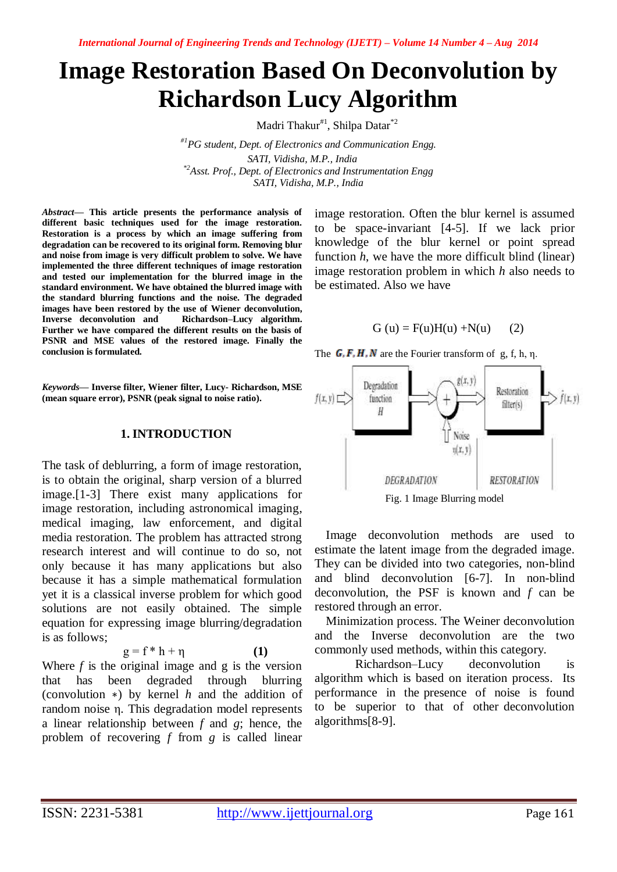# **Image Restoration Based On Deconvolution by Richardson Lucy Algorithm**

Madri Thakur<sup>#1</sup>, Shilpa Datar<sup>\*2</sup>

*#1PG student, Dept. of Electronics and Communication Engg. SATI, Vidisha, M.P., India \*2Asst. Prof., Dept. of Electronics and Instrumentation Engg SATI, Vidisha, M.P., India*

*Abstract***— This article presents the performance analysis of different basic techniques used for the image restoration. Restoration is a process by which an image suffering from degradation can be recovered to its original form. Removing blur and noise from image is very difficult problem to solve. We have implemented the three different techniques of image restoration and tested our implementation for the blurred image in the standard environment. We have obtained the blurred image with the standard blurring functions and the noise. The degraded images have been restored by the use of Wiener deconvolution, Inverse deconvolution and Richardson–Lucy algorithm. Further we have compared the different results on the basis of PSNR and MSE values of the restored image. Finally the conclusion is formulated.**

*Keywords***— Inverse filter, Wiener filter, Lucy- Richardson, MSE (mean square error), PSNR (peak signal to noise ratio).**

#### **1. INTRODUCTION**

The task of deblurring, a form of image restoration, is to obtain the original, sharp version of a blurred image.[1-3] There exist many applications for image restoration, including astronomical imaging, medical imaging, law enforcement, and digital media restoration. The problem has attracted strong research interest and will continue to do so, not only because it has many applications but also because it has a simple mathematical formulation yet it is a classical inverse problem for which good solutions are not easily obtained. The simple equation for expressing image blurring/degradation is as follows;

$$
g = f * h + \eta \tag{1}
$$

Where  $f$  is the original image and  $g$  is the version that has been degraded through blurring (convolution ∗) by kernel *h* and the addition of random noise η. This degradation model represents a linear relationship between *f* and *g*; hence, the problem of recovering *f* from *g* is called linear

image restoration. Often the blur kernel is assumed to be space-invariant [4-5]. If we lack prior knowledge of the blur kernel or point spread function *h*, we have the more difficult blind (linear) image restoration problem in which *h* also needs to be estimated. Also we have

$$
G(u) = F(u)H(u) + N(u)
$$
 (2)







Image deconvolution methods are used to estimate the latent image from the degraded image. They can be divided into two categories, non-blind and blind deconvolution [6-7]. In non-blind deconvolution, the PSF is known and *f* can be restored through an error.

Minimization process. The Weiner deconvolution and the Inverse deconvolution are the two commonly used methods, within this category.

Richardson–Lucy deconvolution is algorithm which is based on iteration process. Its performance in the presence of noise is found to be superior to that of other deconvolution algorithms[8-9].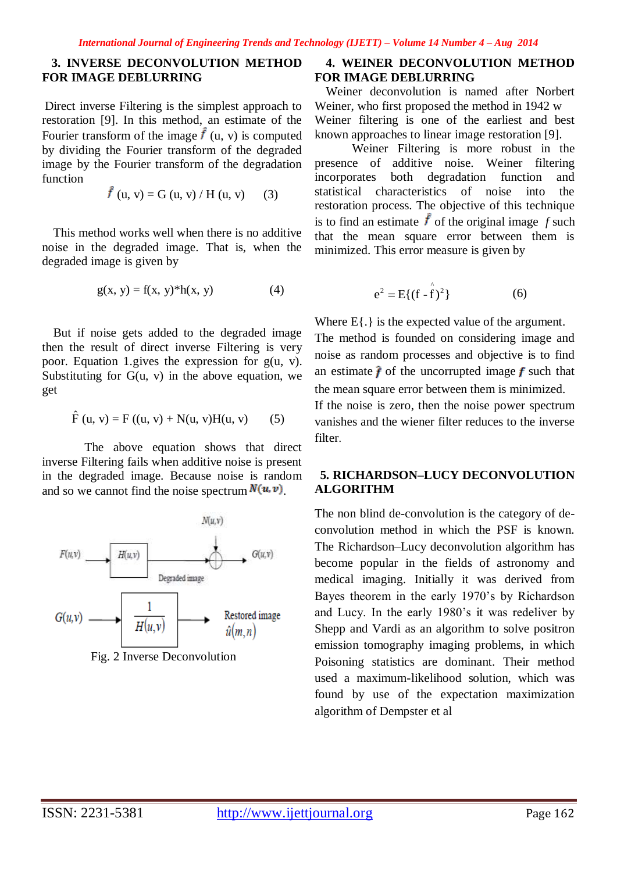## **3. INVERSE DECONVOLUTION METHOD FOR IMAGE DEBLURRING**

Direct inverse Filtering is the simplest approach to restoration [9]. In this method, an estimate of the Fourier transform of the image  $\hat{f}$  (u, v) is computed by dividing the Fourier transform of the degraded image by the Fourier transform of the degradation function

$$
\hat{f}(u, v) = G(u, v) / H(u, v)
$$
 (3)

This method works well when there is no additive noise in the degraded image. That is, when the degraded image is given by

$$
g(x, y) = f(x, y)^*h(x, y)
$$
 (4)

But if noise gets added to the degraded image then the result of direct inverse Filtering is very poor. Equation 1.gives the expression for g(u, v). Substituting for  $G(u, v)$  in the above equation, we get

$$
\hat{F}(u, v) = F((u, v) + N(u, v)H(u, v)
$$
 (5)

The above equation shows that direct inverse Filtering fails when additive noise is present in the degraded image. Because noise is random and so we cannot find the noise spectrum  $N(u, v)$ .



Fig. 2 Inverse Deconvolution

## **4. WEINER DECONVOLUTION METHOD FOR IMAGE DEBLURRING**

Weiner deconvolution is named after Norbert Weiner, who first proposed the method in 1942 w Weiner filtering is one of the earliest and best known approaches to linear image restoration [9].

Weiner Filtering is more robust in the presence of additive noise. Weiner filtering incorporates both degradation function and statistical characteristics of noise into the restoration process. The objective of this technique is to find an estimate  $\hat{f}$  of the original image  $f$  such that the mean square error between them is minimized. This error measure is given by

$$
e^{2} = E\{(f - f)^{2}\}\tag{6}
$$

Where  $E\{.\}$  is the expected value of the argument. The method is founded on considering image and noise as random processes and objective is to find an estimate  $\hat{f}$  of the uncorrupted image  $f$  such that the mean square error between them is minimized.

If the noise is zero, then the noise power spectrum vanishes and the wiener filter reduces to the inverse filter.

## **5. RICHARDSON–LUCY DECONVOLUTION ALGORITHM**

The non blind de-convolution is the category of deconvolution method in which the PSF is known. The Richardson–Lucy deconvolution algorithm has become popular in the fields of astronomy and medical imaging. Initially it was derived from Bayes theorem in the early 1970's by Richardson and Lucy. In the early 1980's it was redeliver by Shepp and Vardi as an algorithm to solve positron emission tomography imaging problems, in which Poisoning statistics are dominant. Their method used a maximum-likelihood solution, which was found by use of the expectation maximization algorithm of Dempster et al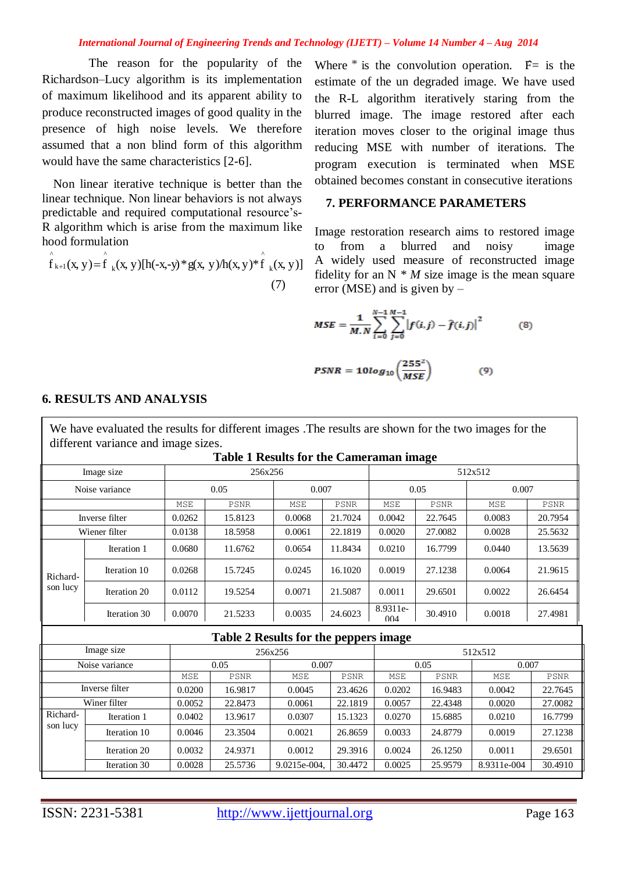#### *International Journal of Engineering Trends and Technology (IJETT) – Volume 14 Number 4 – Aug 2014*

 The reason for the popularity of the Richardson–Lucy algorithm is its implementation of maximum likelihood and its apparent ability to produce reconstructed images of good quality in the presence of high noise levels. We therefore assumed that a non blind form of this algorithm would have the same characteristics [2-6].

Non linear iterative technique is better than the linear technique. Non linear behaviors is not always predictable and required computational resource's-R algorithm which is arise from the maximum like hood formulation

 (7) For a subsequent in the maximum like<br>hood formulation<br> $\int_{0}^{x} f_{k+1}(x, y) = \int_{0}^{x} f_{k}(x, y) [h(-x, -y) * g(x, y)] h(x, y) * \int_{0}^{x} f_{k}(x, y)]$ ^ k ^  $k+1$  $\int_{k+1}^{1} (x, y) =$ 

Where  $\ast$  is the convolution operation.  $F =$  is the estimate of the un degraded image. We have used the R-L algorithm iteratively staring from the blurred image. The image restored after each iteration moves closer to the original image thus reducing MSE with number of iterations. The program execution is terminated when MSE obtained becomes constant in consecutive iterations

## **7. PERFORMANCE PARAMETERS**

Image restoration research aims to restored image to from a blurred and noisy image A widely used measure of reconstructed image fidelity for an  $N * M$  size image is the mean square error (MSE) and is given by –

$$
MSE = \frac{1}{M.N} \sum_{i=0}^{N-1} \sum_{j=0}^{M-1} |f(i,j) - \hat{f}(i,j)|^2
$$
 (8)

$$
PSNR = 10log_{10}\left(\frac{255^2}{MSE}\right) \tag{9}
$$

|                      |              |         | <b>Table 1 Results for the Cameraman image</b> |        |             |                 |             |        |             |  |
|----------------------|--------------|---------|------------------------------------------------|--------|-------------|-----------------|-------------|--------|-------------|--|
| Image size           |              | 256x256 |                                                |        |             | 512x512         |             |        |             |  |
| Noise variance       |              | 0.05    |                                                | 0.007  |             | 0.05            |             | 0.007  |             |  |
|                      |              | MSE     | <b>PSNR</b>                                    | MSE    | <b>PSNR</b> | MSE             | <b>PSNR</b> | MSE    | <b>PSNR</b> |  |
| Inverse filter       |              | 0.0262  | 15.8123                                        | 0.0068 | 21.7024     | 0.0042          | 22.7645     | 0.0083 | 20.7954     |  |
| Wiener filter        |              | 0.0138  | 18.5958                                        | 0.0061 | 22.1819     | 0.0020          | 27.0082     | 0.0028 | 25.5632     |  |
| Richard-<br>son lucy | Iteration 1  | 0.0680  | 11.6762                                        | 0.0654 | 11.8434     | 0.0210          | 16.7799     | 0.0440 | 13.5639     |  |
|                      | Iteration 10 | 0.0268  | 15.7245                                        | 0.0245 | 16.1020     | 0.0019          | 27.1238     | 0.0064 | 21.9615     |  |
|                      | Iteration 20 | 0.0112  | 19.5254                                        | 0.0071 | 21.5087     | 0.0011          | 29.6501     | 0.0022 | 26.6454     |  |
|                      | Iteration 30 | 0.0070  | 21.5233                                        | 0.0035 | 24.6023     | 8.9311e-<br>004 | 30.4910     | 0.0018 | 27.4981     |  |
|                      |              |         | Table 2 Results for the peppers image          |        |             |                 |             |        |             |  |
| Image size           |              | 256x256 |                                                |        | 512x512     |                 |             |        |             |  |
| Noise variance       |              |         | 0.05                                           |        | 0.007       |                 | 0.05        |        | 0.007       |  |
|                      |              | MSE     | <b>PSNR</b>                                    | MSE    | <b>PSNR</b> | MSE             | <b>PSNR</b> | MSE    | <b>PSNR</b> |  |
| Inverse filter       |              | 0.0200  | 16.9817                                        | 0.0045 | 23.4626     | 0.0202          | 16.9483     | 0.0042 | 22.7645     |  |

Winer filter 0.0052 22.8473 0.0061 22.1819 0.0057 22.4348 0.0020 27.0082

Iteration 1 0.0402 13.9617 0.0307 15.1323 0.0270 15.6885 0.0210 16.7799 Iteration 10 0.0046 23.3504 0.0021 26.8659 0.0033 24.8779 0.0019 27.1238 Iteration 20 0.0032 24.9371 0.0012 29.3916 0.0024 26.1250 0.0011 29.6501 Iteration 30 0.0028 25.5736 9.0215e-004, 30.4472 0.0025 25.9579 8.9311e-004 30.4910

### **6. RESULTS AND ANALYSIS**

Richardson lucy

We have evaluated the results for different images .The results are shown for the two images for the different variance and image sizes.

| ISSN: 2231-5381<br>http://www.ijettjournal.org | Page 163 |
|------------------------------------------------|----------|
|------------------------------------------------|----------|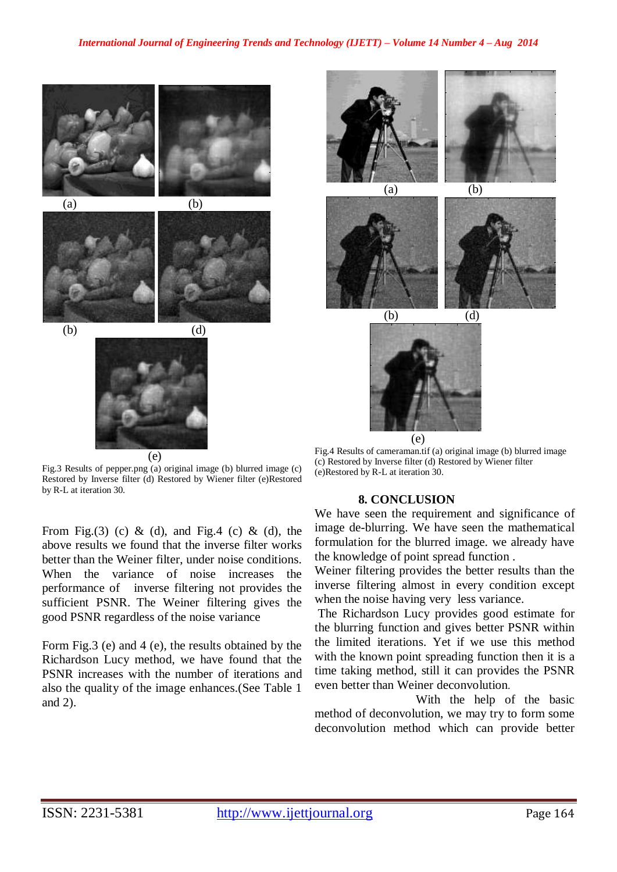



250



 $(b)$ 

250

Fig.3 Results of pepper.png (a) original image (b) blurred image (c) Restored by Inverse filter (d) Restored by Wiener filter (e)Restored by R-L at iteration 30.

From Fig.(3) (c) & (d), and Fig.4 (c) & (d), the above results we found that the inverse filter works better than the Weiner filter, under noise conditions. When the variance of noise increases the performance of inverse filtering not provides the sufficient PSNR. The Weiner filtering gives the good PSNR regardless of the noise variance

Form Fig.3 (e) and 4 (e), the results obtained by the Richardson Lucy method, we have found that the PSNR increases with the number of iterations and also the quality of the image enhances.(See Table 1 and 2).











Fig.4 Results of cameraman.tif (a) original image (b) blurred image (c) Restored by Inverse filter (d) Restored by Wiener filter (e)Restored by R-L at iteration 30.

#### **8. CONCLUSION**

We have seen the requirement and significance of image de-blurring. We have seen the mathematical formulation for the blurred image. we already have the knowledge of point spread function .

Weiner filtering provides the better results than the inverse filtering almost in every condition except when the noise having very less variance.

The Richardson Lucy provides good estimate for the blurring function and gives better PSNR within the limited iterations. Yet if we use this method with the known point spreading function then it is a time taking method, still it can provides the PSNR even better than Weiner deconvolution.

 With the help of the basic method of deconvolution, we may try to form some deconvolution method which can provide better